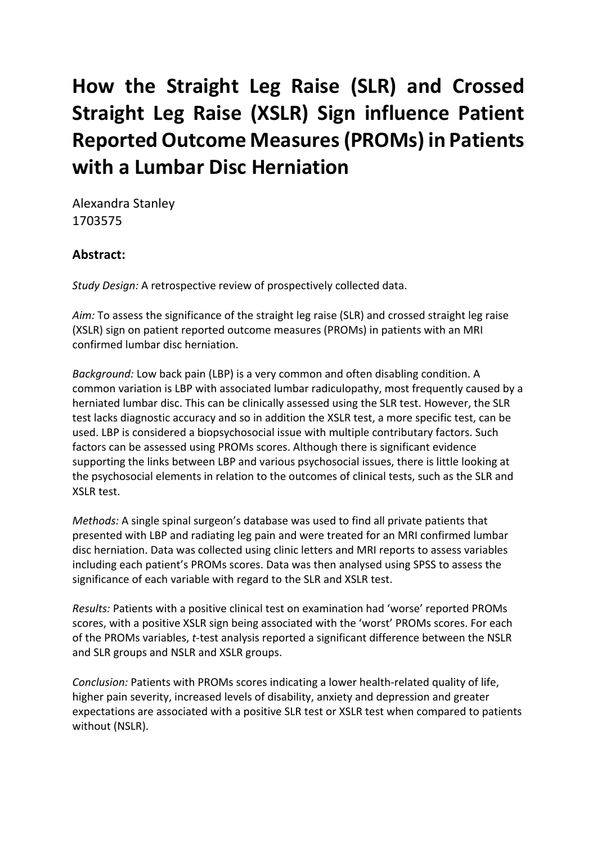# **How the Straight Leg Raise (SLR) and Crossed Straight Leg Raise (XSLR) Sign influence Patient Reported Outcome Measures (PROMs) in Patients with a Lumbar Disc Herniation**

Alexandra Stanley 1703575

# **Abstract:**

*Study Design:* A retrospective review of prospectively collected data.

*Aim:* To assess the significance of the straight leg raise (SLR) and crossed straight leg raise (XSLR) sign on patient reported outcome measures (PROMs) in patients with an MRI confirmed lumbar disc herniation.

*Background:* Low back pain (LBP) is a very common and often disabling condition. A common variation is LBP with associated lumbar radiculopathy, most frequently caused by a herniated lumbar disc. This can be clinically assessed using the SLR test. However, the SLR test lacks diagnostic accuracy and so in addition the XSLR test, a more specific test, can be used. LBP is considered a biopsychosocial issue with multiple contributary factors. Such factors can be assessed using PROMs scores. Although there is significant evidence supporting the links between LBP and various psychosocial issues, there is little looking at the psychosocial elements in relation to the outcomes of clinical tests, such as the SLR and XSLR test.

*Methods:* A single spinal surgeon's database was used to find all private patients that presented with LBP and radiating leg pain and were treated for an MRI confirmed lumbar disc herniation. Data was collected using clinic letters and MRI reports to assess variables including each patient's PROMs scores. Data was then analysed using SPSS to assess the significance of each variable with regard to the SLR and XSLR test.

*Results:* Patients with a positive clinical test on examination had 'worse' reported PROMs scores, with a positive XSLR sign being associated with the 'worst' PROMs scores. For each of the PROMs variables, *t*-test analysis reported a significant difference between the NSLR and SLR groups and NSLR and XSLR groups.

*Conclusion:* Patients with PROMs scores indicating a lower health-related quality of life, higher pain severity, increased levels of disability, anxiety and depression and greater expectations are associated with a positive SLR test or XSLR test when compared to patients without (NSLR).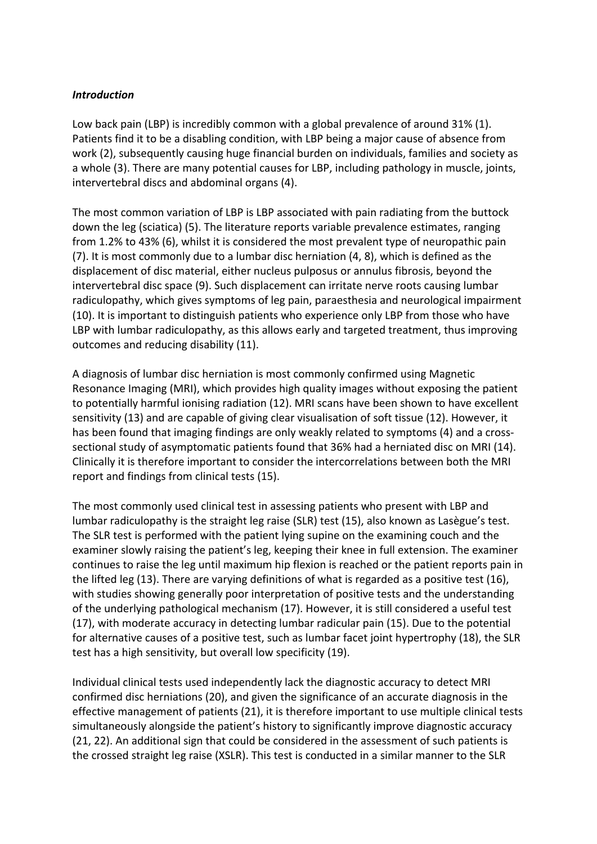#### *Introduction*

Low back pain (LBP) is incredibly common with a global prevalence of around 31% (1). Patients find it to be a disabling condition, with LBP being a major cause of absence from work (2), subsequently causing huge financial burden on individuals, families and society as a whole (3). There are many potential causes for LBP, including pathology in muscle, joints, intervertebral discs and abdominal organs (4).

The most common variation of LBP is LBP associated with pain radiating from the buttock down the leg (sciatica) (5). The literature reports variable prevalence estimates, ranging from 1.2% to 43% (6), whilst it is considered the most prevalent type of neuropathic pain (7). It is most commonly due to a lumbar disc herniation (4, 8), which is defined as the displacement of disc material, either nucleus pulposus or annulus fibrosis, beyond the intervertebral disc space (9). Such displacement can irritate nerve roots causing lumbar radiculopathy, which gives symptoms of leg pain, paraesthesia and neurological impairment (10). It is important to distinguish patients who experience only LBP from those who have LBP with lumbar radiculopathy, as this allows early and targeted treatment, thus improving outcomes and reducing disability (11).

A diagnosis of lumbar disc herniation is most commonly confirmed using Magnetic Resonance Imaging (MRI), which provides high quality images without exposing the patient to potentially harmful ionising radiation (12). MRI scans have been shown to have excellent sensitivity (13) and are capable of giving clear visualisation of soft tissue (12). However, it has been found that imaging findings are only weakly related to symptoms (4) and a crosssectional study of asymptomatic patients found that 36% had a herniated disc on MRI (14). Clinically it is therefore important to consider the intercorrelations between both the MRI report and findings from clinical tests (15).

The most commonly used clinical test in assessing patients who present with LBP and lumbar radiculopathy is the straight leg raise (SLR) test (15), also known as Lasègue's test. The SLR test is performed with the patient lying supine on the examining couch and the examiner slowly raising the patient's leg, keeping their knee in full extension. The examiner continues to raise the leg until maximum hip flexion is reached or the patient reports pain in the lifted leg (13). There are varying definitions of what is regarded as a positive test (16), with studies showing generally poor interpretation of positive tests and the understanding of the underlying pathological mechanism (17). However, it is still considered a useful test (17), with moderate accuracy in detecting lumbar radicular pain (15). Due to the potential for alternative causes of a positive test, such as lumbar facet joint hypertrophy (18), the SLR test has a high sensitivity, but overall low specificity (19).

Individual clinical tests used independently lack the diagnostic accuracy to detect MRI confirmed disc herniations (20), and given the significance of an accurate diagnosis in the effective management of patients (21), it is therefore important to use multiple clinical tests simultaneously alongside the patient's history to significantly improve diagnostic accuracy (21, 22). An additional sign that could be considered in the assessment of such patients is the crossed straight leg raise (XSLR). This test is conducted in a similar manner to the SLR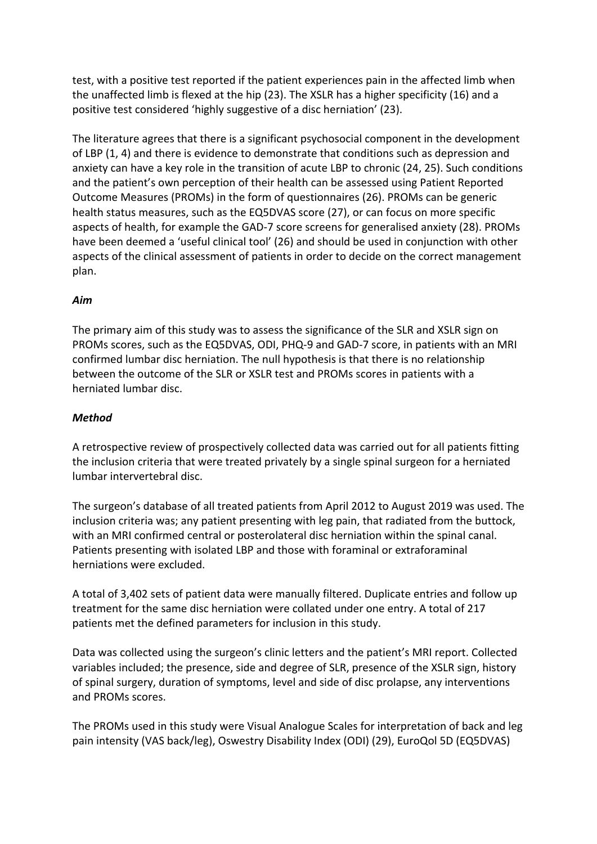test, with a positive test reported if the patient experiences pain in the affected limb when the unaffected limb is flexed at the hip (23). The XSLR has a higher specificity (16) and a positive test considered 'highly suggestive of a disc herniation' (23).

The literature agrees that there is a significant psychosocial component in the development of LBP (1, 4) and there is evidence to demonstrate that conditions such as depression and anxiety can have a key role in the transition of acute LBP to chronic (24, 25). Such conditions and the patient's own perception of their health can be assessed using Patient Reported Outcome Measures (PROMs) in the form of questionnaires (26). PROMs can be generic health status measures, such as the EQ5DVAS score (27), or can focus on more specific aspects of health, for example the GAD-7 score screens for generalised anxiety (28). PROMs have been deemed a 'useful clinical tool' (26) and should be used in conjunction with other aspects of the clinical assessment of patients in order to decide on the correct management plan.

## *Aim*

The primary aim of this study was to assess the significance of the SLR and XSLR sign on PROMs scores, such as the EQ5DVAS, ODI, PHQ-9 and GAD-7 score, in patients with an MRI confirmed lumbar disc herniation. The null hypothesis is that there is no relationship between the outcome of the SLR or XSLR test and PROMs scores in patients with a herniated lumbar disc.

## *Method*

A retrospective review of prospectively collected data was carried out for all patients fitting the inclusion criteria that were treated privately by a single spinal surgeon for a herniated lumbar intervertebral disc.

The surgeon's database of all treated patients from April 2012 to August 2019 was used. The inclusion criteria was; any patient presenting with leg pain, that radiated from the buttock, with an MRI confirmed central or posterolateral disc herniation within the spinal canal. Patients presenting with isolated LBP and those with foraminal or extraforaminal herniations were excluded.

A total of 3,402 sets of patient data were manually filtered. Duplicate entries and follow up treatment for the same disc herniation were collated under one entry. A total of 217 patients met the defined parameters for inclusion in this study.

Data was collected using the surgeon's clinic letters and the patient's MRI report. Collected variables included; the presence, side and degree of SLR, presence of the XSLR sign, history of spinal surgery, duration of symptoms, level and side of disc prolapse, any interventions and PROMs scores.

The PROMs used in this study were Visual Analogue Scales for interpretation of back and leg pain intensity (VAS back/leg), Oswestry Disability Index (ODI) (29), EuroQol 5D (EQ5DVAS)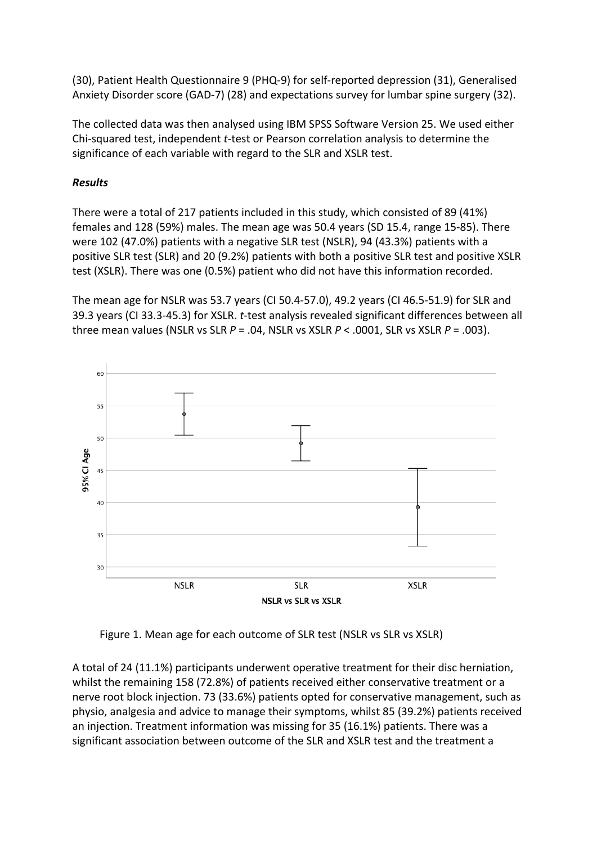(30), Patient Health Questionnaire 9 (PHQ-9) for self-reported depression (31), Generalised Anxiety Disorder score (GAD-7) (28) and expectations survey for lumbar spine surgery (32).

The collected data was then analysed using IBM SPSS Software Version 25. We used either Chi-squared test, independent *t*-test or Pearson correlation analysis to determine the significance of each variable with regard to the SLR and XSLR test.

# *Results*

There were a total of 217 patients included in this study, which consisted of 89 (41%) females and 128 (59%) males. The mean age was 50.4 years (SD 15.4, range 15-85). There were 102 (47.0%) patients with a negative SLR test (NSLR), 94 (43.3%) patients with a positive SLR test (SLR) and 20 (9.2%) patients with both a positive SLR test and positive XSLR test (XSLR). There was one (0.5%) patient who did not have this information recorded.

The mean age for NSLR was 53.7 years (CI 50.4-57.0), 49.2 years (CI 46.5-51.9) for SLR and 39.3 years (CI 33.3-45.3) for XSLR. *t*-test analysis revealed significant differences between all three mean values (NSLR vs SLR *P* = .04, NSLR vs XSLR *P* < .0001, SLR vs XSLR *P* = .003).



Figure 1. Mean age for each outcome of SLR test (NSLR vs SLR vs XSLR)

A total of 24 (11.1%) participants underwent operative treatment for their disc herniation, whilst the remaining 158 (72.8%) of patients received either conservative treatment or a nerve root block injection. 73 (33.6%) patients opted for conservative management, such as physio, analgesia and advice to manage their symptoms, whilst 85 (39.2%) patients received an injection. Treatment information was missing for 35 (16.1%) patients. There was a significant association between outcome of the SLR and XSLR test and the treatment a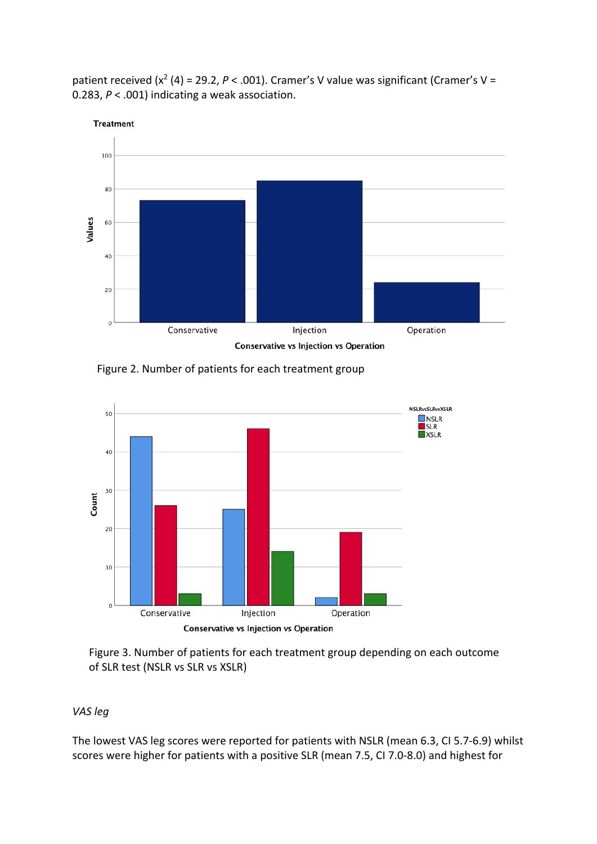patient received (x<sup>2</sup> (4) = 29.2, P < .001). Cramer's V value was significant (Cramer's V = 0.283, *P* < .001) indicating a weak association.



Figure 2. Number of patients for each treatment group



Figure 3. Number of patients for each treatment group depending on each outcome of SLR test (NSLR vs SLR vs XSLR)

## *VAS leg*

The lowest VAS leg scores were reported for patients with NSLR (mean 6.3, CI 5.7-6.9) whilst scores were higher for patients with a positive SLR (mean 7.5, CI 7.0-8.0) and highest for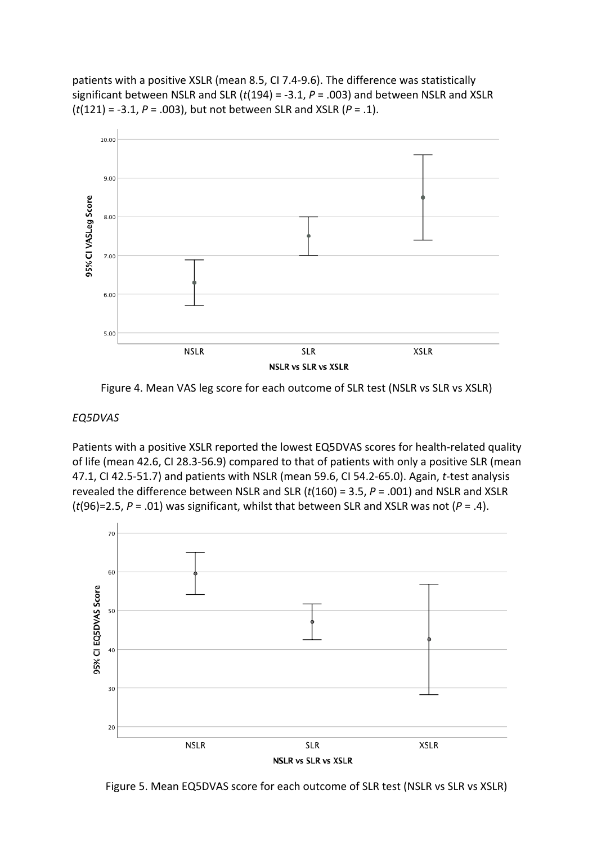patients with a positive XSLR (mean 8.5, CI 7.4-9.6). The difference was statistically significant between NSLR and SLR (*t*(194) = -3.1, *P* = .003) and between NSLR and XSLR (*t*(121) = -3.1, *P* = .003), but not between SLR and XSLR (*P* = .1).



Figure 4. Mean VAS leg score for each outcome of SLR test (NSLR vs SLR vs XSLR)

#### *EQ5DVAS*

Patients with a positive XSLR reported the lowest EQ5DVAS scores for health-related quality of life (mean 42.6, CI 28.3-56.9) compared to that of patients with only a positive SLR (mean 47.1, CI 42.5-51.7) and patients with NSLR (mean 59.6, CI 54.2-65.0). Again, *t*-test analysis revealed the difference between NSLR and SLR (*t*(160) = 3.5, *P* = .001) and NSLR and XSLR (*t*(96)=2.5, *P* = .01) was significant, whilst that between SLR and XSLR was not (*P* = .4).



Figure 5. Mean EQ5DVAS score for each outcome of SLR test (NSLR vs SLR vs XSLR)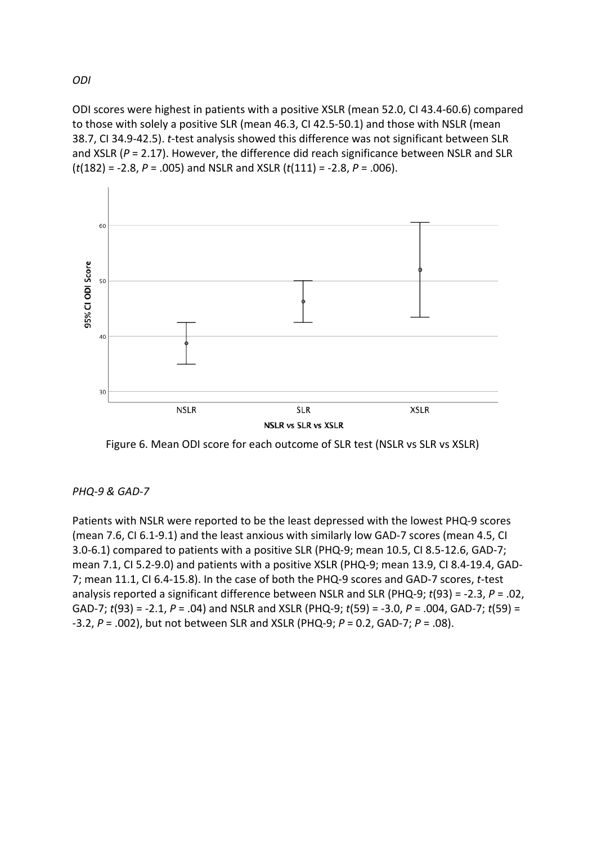ODI scores were highest in patients with a positive XSLR (mean 52.0, CI 43.4-60.6) compared to those with solely a positive SLR (mean 46.3, CI 42.5-50.1) and those with NSLR (mean 38.7, CI 34.9-42.5). *t*-test analysis showed this difference was not significant between SLR and XSLR (*P* = 2.17). However, the difference did reach significance between NSLR and SLR (*t*(182) = -2.8, *P* = .005) and NSLR and XSLR (*t*(111) = -2.8, *P* = .006).





*PHQ-9 & GAD-7*

Patients with NSLR were reported to be the least depressed with the lowest PHQ-9 scores (mean 7.6, CI 6.1-9.1) and the least anxious with similarly low GAD-7 scores (mean 4.5, CI 3.0-6.1) compared to patients with a positive SLR (PHQ-9; mean 10.5, CI 8.5-12.6, GAD-7; mean 7.1, CI 5.2-9.0) and patients with a positive XSLR (PHQ-9; mean 13.9, CI 8.4-19.4, GAD-7; mean 11.1, CI 6.4-15.8). In the case of both the PHQ-9 scores and GAD-7 scores, *t*-test analysis reported a significant difference between NSLR and SLR (PHQ-9; *t*(93) = -2.3, *P* = .02, GAD-7; *t*(93) = -2.1, *P* = .04) and NSLR and XSLR (PHQ-9; *t*(59) = -3.0, *P* = .004, GAD-7; *t*(59) = -3.2, *P* = .002), but not between SLR and XSLR (PHQ-9; *P* = 0.2, GAD-7; *P* = .08).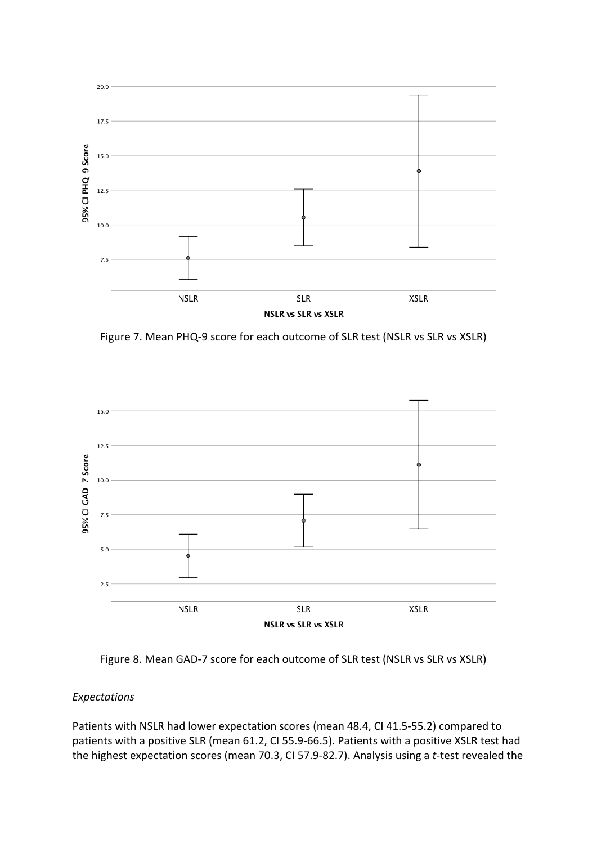

Figure 7. Mean PHQ-9 score for each outcome of SLR test (NSLR vs SLR vs XSLR)





## *Expectations*

Patients with NSLR had lower expectation scores (mean 48.4, CI 41.5-55.2) compared to patients with a positive SLR (mean 61.2, CI 55.9-66.5). Patients with a positive XSLR test had the highest expectation scores (mean 70.3, CI 57.9-82.7). Analysis using a *t*-test revealed the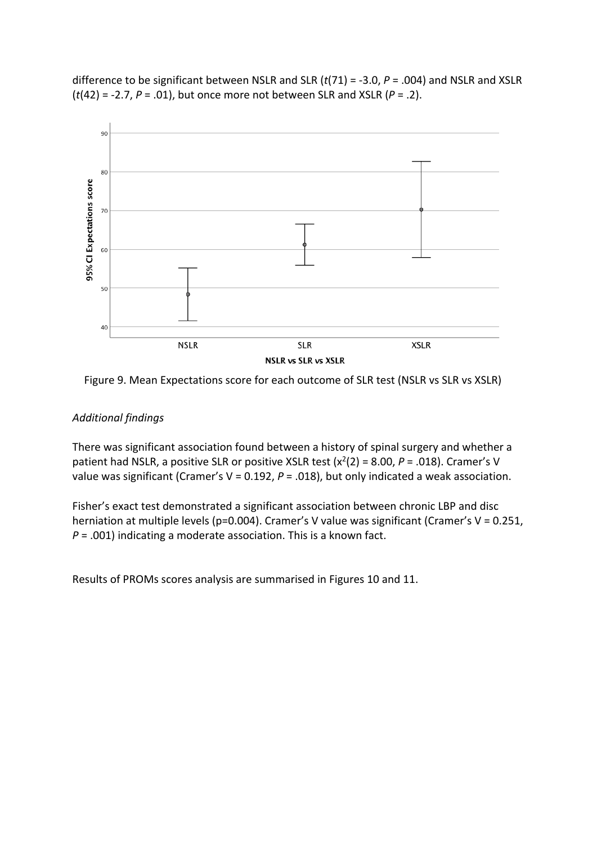difference to be significant between NSLR and SLR (*t*(71) = -3.0, *P* = .004) and NSLR and XSLR (*t*(42) = -2.7, *P* = .01), but once more not between SLR and XSLR (*P* = .2).



Figure 9. Mean Expectations score for each outcome of SLR test (NSLR vs SLR vs XSLR)

#### *Additional findings*

There was significant association found between a history of spinal surgery and whether a patient had NSLR, a positive SLR or positive XSLR test  $(x^2(2) = 8.00, P = .018)$ . Cramer's V value was significant (Cramer's V = 0.192, *P* = .018), but only indicated a weak association.

Fisher's exact test demonstrated a significant association between chronic LBP and disc herniation at multiple levels (p=0.004). Cramer's V value was significant (Cramer's V = 0.251, *P* = .001) indicating a moderate association. This is a known fact.

Results of PROMs scores analysis are summarised in Figures 10 and 11.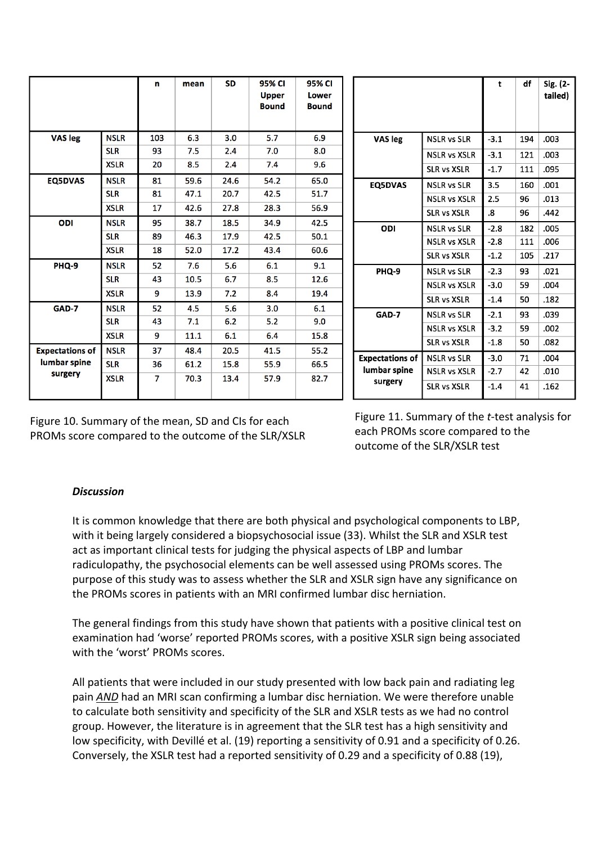|                                                   |             | n   | mean | <b>SD</b> | 95% CI<br><b>Upper</b><br><b>Bound</b> | 95% CI<br><b>Lower</b><br><b>Bound</b> |  |                                 |                     | t      | df  | Sig. (2-<br>tailed) |
|---------------------------------------------------|-------------|-----|------|-----------|----------------------------------------|----------------------------------------|--|---------------------------------|---------------------|--------|-----|---------------------|
| <b>VAS leg</b>                                    | <b>NSLR</b> | 103 | 6.3  | 3.0       | 5.7                                    | 6.9                                    |  | VAS leg                         | <b>NSLR vs SLR</b>  | $-3.1$ | 194 | .003                |
|                                                   | <b>SLR</b>  | 93  | 7.5  | 2.4       | 7.0                                    | 8.0                                    |  |                                 | <b>NSLR vs XSLR</b> | $-3.1$ | 121 | .003                |
|                                                   | <b>XSLR</b> | 20  | 8.5  | 2.4       | 7.4                                    | 9.6                                    |  |                                 | <b>SLR vs XSLR</b>  | $-1.7$ | 111 | .095                |
| <b>EQ5DVAS</b>                                    | <b>NSLR</b> | 81  | 59.6 | 24.6      | 54.2                                   | 65.0                                   |  | <b>EQ5DVAS</b>                  | <b>NSLR vs SLR</b>  | 3.5    | 160 | .001                |
|                                                   | <b>SLR</b>  | 81  | 47.1 | 20.7      | 42.5                                   | 51.7                                   |  |                                 | <b>NSLR vs XSLR</b> | 2.5    | 96  | .013                |
|                                                   | <b>XSLR</b> | 17  | 42.6 | 27.8      | 28.3                                   | 56.9                                   |  |                                 | <b>SLR vs XSLR</b>  | .8     | 96  | .442                |
| ODI                                               | <b>NSLR</b> | 95  | 38.7 | 18.5      | 34.9                                   | 42.5                                   |  | ODI                             | <b>NSLR vs SLR</b>  | $-2.8$ | 182 | .005                |
|                                                   | <b>SLR</b>  | 89  | 46.3 | 17.9      | 42.5                                   | 50.1                                   |  |                                 | <b>NSLR vs XSLR</b> | $-2.8$ | 111 | .006                |
|                                                   | <b>XSLR</b> | 18  | 52.0 | 17.2      | 43.4                                   | 60.6                                   |  |                                 | <b>SLR vs XSLR</b>  | $-1.2$ | 105 | .217                |
| PHQ-9                                             | <b>NSLR</b> | 52  | 7.6  | 5.6       | 6.1                                    | 9.1                                    |  | PHQ-9                           | <b>NSLR vs SLR</b>  | $-2.3$ | 93  | .021                |
|                                                   | <b>SLR</b>  | 43  | 10.5 | 6.7       | 8.5                                    | 12.6                                   |  |                                 | <b>NSLR vs XSLR</b> | $-3.0$ | 59  | .004                |
|                                                   | <b>XSLR</b> | 9   | 13.9 | 7.2       | 8.4                                    | 19.4                                   |  |                                 |                     |        |     |                     |
| GAD-7                                             | <b>NSLR</b> | 52  | 4.5  | 5.6       | 3.0                                    | 6.1                                    |  | GAD-7<br><b>Expectations of</b> | <b>SLR vs XSLR</b>  | $-1.4$ | 50  | .182                |
|                                                   | <b>SLR</b>  | 43  | 7.1  | 6.2       | 5.2                                    | 9.0                                    |  |                                 | <b>NSLR vs SLR</b>  | $-2.1$ | 93  | .039                |
|                                                   | <b>XSLR</b> | 9   | 11.1 | 6.1       | 6.4                                    | 15.8                                   |  |                                 | <b>NSLR vs XSLR</b> | $-3.2$ | 59  | .002                |
| <b>Expectations of</b><br>lumbar spine<br>surgery | <b>NSLR</b> | 37  | 48.4 | 20.5      | 41.5                                   | 55.2                                   |  |                                 | <b>SLR vs XSLR</b>  | $-1.8$ | 50  | .082                |
|                                                   | <b>SLR</b>  | 36  | 61.2 | 15.8      | 55.9                                   | 66.5                                   |  |                                 | <b>NSLR vs SLR</b>  | $-3.0$ | 71  | .004                |
|                                                   | <b>XSLR</b> | 7   | 70.3 | 13.4      | 57.9                                   | 82.7                                   |  | lumbar spine<br>surgery         | <b>NSLR vs XSLR</b> | $-2.7$ | 42  | .010                |
|                                                   |             |     |      |           |                                        |                                        |  |                                 | <b>SLR vs XSLR</b>  | $-1.4$ | 41  | .162                |

Figure 10. Summary of the mean, SD and CIs for each PROMs score compared to the outcome of the SLR/XSLR

Figure 11. Summary of the *t*-test analysis for each PROMs score compared to the outcome of the SLR/XSLR test

## *Discussion*

It is common knowledge that there are both physical and psychological components to LBP, with it being largely considered a biopsychosocial issue (33). Whilst the SLR and XSLR test act as important clinical tests for judging the physical aspects of LBP and lumbar radiculopathy, the psychosocial elements can be well assessed using PROMs scores. The purpose of this study was to assess whether the SLR and XSLR sign have any significance on the PROMs scores in patients with an MRI confirmed lumbar disc herniation.

The general findings from this study have shown that patients with a positive clinical test on examination had 'worse' reported PROMs scores, with a positive XSLR sign being associated with the 'worst' PROMs scores.

All patients that were included in our study presented with low back pain and radiating leg pain *AND* had an MRI scan confirming a lumbar disc herniation. We were therefore unable to calculate both sensitivity and specificity of the SLR and XSLR tests as we had no control group. However, the literature is in agreement that the SLR test has a high sensitivity and low specificity, with Devillé et al. (19) reporting a sensitivity of 0.91 and a specificity of 0.26. Conversely, the XSLR test had a reported sensitivity of 0.29 and a specificity of 0.88 (19),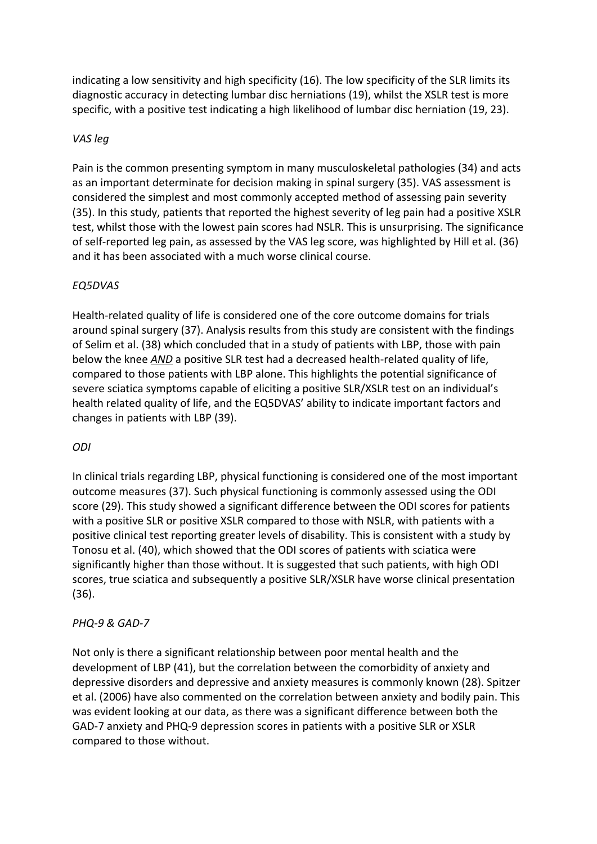indicating a low sensitivity and high specificity (16). The low specificity of the SLR limits its diagnostic accuracy in detecting lumbar disc herniations (19), whilst the XSLR test is more specific, with a positive test indicating a high likelihood of lumbar disc herniation (19, 23).

#### *VAS leg*

Pain is the common presenting symptom in many musculoskeletal pathologies (34) and acts as an important determinate for decision making in spinal surgery (35). VAS assessment is considered the simplest and most commonly accepted method of assessing pain severity (35). In this study, patients that reported the highest severity of leg pain had a positive XSLR test, whilst those with the lowest pain scores had NSLR. This is unsurprising. The significance of self-reported leg pain, as assessed by the VAS leg score, was highlighted by Hill et al. (36) and it has been associated with a much worse clinical course.

## *EQ5DVAS*

Health-related quality of life is considered one of the core outcome domains for trials around spinal surgery (37). Analysis results from this study are consistent with the findings of Selim et al. (38) which concluded that in a study of patients with LBP, those with pain below the knee *AND* a positive SLR test had a decreased health-related quality of life, compared to those patients with LBP alone. This highlights the potential significance of severe sciatica symptoms capable of eliciting a positive SLR/XSLR test on an individual's health related quality of life, and the EQ5DVAS' ability to indicate important factors and changes in patients with LBP (39).

## *ODI*

In clinical trials regarding LBP, physical functioning is considered one of the most important outcome measures (37). Such physical functioning is commonly assessed using the ODI score (29). This study showed a significant difference between the ODI scores for patients with a positive SLR or positive XSLR compared to those with NSLR, with patients with a positive clinical test reporting greater levels of disability. This is consistent with a study by Tonosu et al. (40), which showed that the ODI scores of patients with sciatica were significantly higher than those without. It is suggested that such patients, with high ODI scores, true sciatica and subsequently a positive SLR/XSLR have worse clinical presentation (36).

#### *PHQ-9 & GAD-7*

Not only is there a significant relationship between poor mental health and the development of LBP (41), but the correlation between the comorbidity of anxiety and depressive disorders and depressive and anxiety measures is commonly known (28). Spitzer et al. (2006) have also commented on the correlation between anxiety and bodily pain. This was evident looking at our data, as there was a significant difference between both the GAD-7 anxiety and PHQ-9 depression scores in patients with a positive SLR or XSLR compared to those without.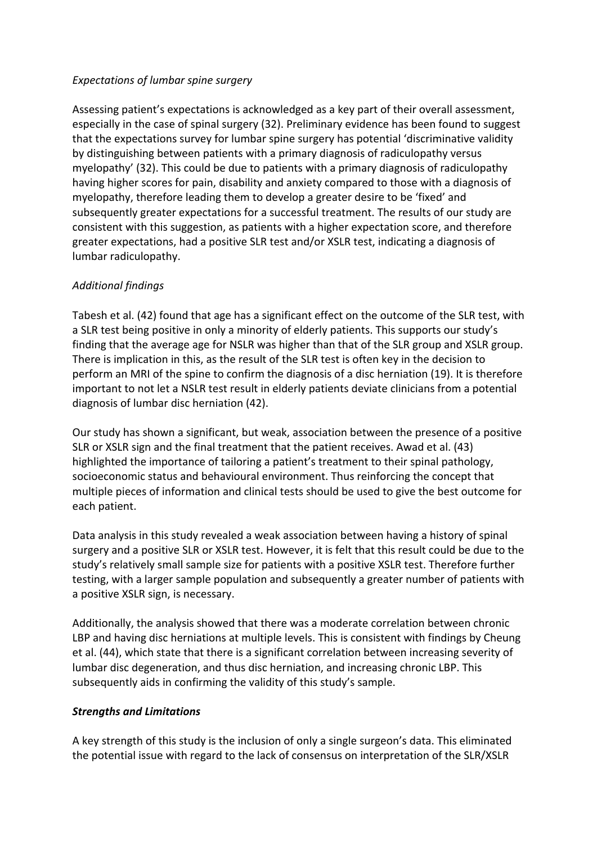## *Expectations of lumbar spine surgery*

Assessing patient's expectations is acknowledged as a key part of their overall assessment, especially in the case of spinal surgery (32). Preliminary evidence has been found to suggest that the expectations survey for lumbar spine surgery has potential 'discriminative validity by distinguishing between patients with a primary diagnosis of radiculopathy versus myelopathy' (32). This could be due to patients with a primary diagnosis of radiculopathy having higher scores for pain, disability and anxiety compared to those with a diagnosis of myelopathy, therefore leading them to develop a greater desire to be 'fixed' and subsequently greater expectations for a successful treatment. The results of our study are consistent with this suggestion, as patients with a higher expectation score, and therefore greater expectations, had a positive SLR test and/or XSLR test, indicating a diagnosis of lumbar radiculopathy.

## *Additional findings*

Tabesh et al. (42) found that age has a significant effect on the outcome of the SLR test, with a SLR test being positive in only a minority of elderly patients. This supports our study's finding that the average age for NSLR was higher than that of the SLR group and XSLR group. There is implication in this, as the result of the SLR test is often key in the decision to perform an MRI of the spine to confirm the diagnosis of a disc herniation (19). It is therefore important to not let a NSLR test result in elderly patients deviate clinicians from a potential diagnosis of lumbar disc herniation (42).

Our study has shown a significant, but weak, association between the presence of a positive SLR or XSLR sign and the final treatment that the patient receives. Awad et al. (43) highlighted the importance of tailoring a patient's treatment to their spinal pathology, socioeconomic status and behavioural environment. Thus reinforcing the concept that multiple pieces of information and clinical tests should be used to give the best outcome for each patient.

Data analysis in this study revealed a weak association between having a history of spinal surgery and a positive SLR or XSLR test. However, it is felt that this result could be due to the study's relatively small sample size for patients with a positive XSLR test. Therefore further testing, with a larger sample population and subsequently a greater number of patients with a positive XSLR sign, is necessary.

Additionally, the analysis showed that there was a moderate correlation between chronic LBP and having disc herniations at multiple levels. This is consistent with findings by Cheung et al. (44), which state that there is a significant correlation between increasing severity of lumbar disc degeneration, and thus disc herniation, and increasing chronic LBP. This subsequently aids in confirming the validity of this study's sample.

## *Strengths and Limitations*

A key strength of this study is the inclusion of only a single surgeon's data. This eliminated the potential issue with regard to the lack of consensus on interpretation of the SLR/XSLR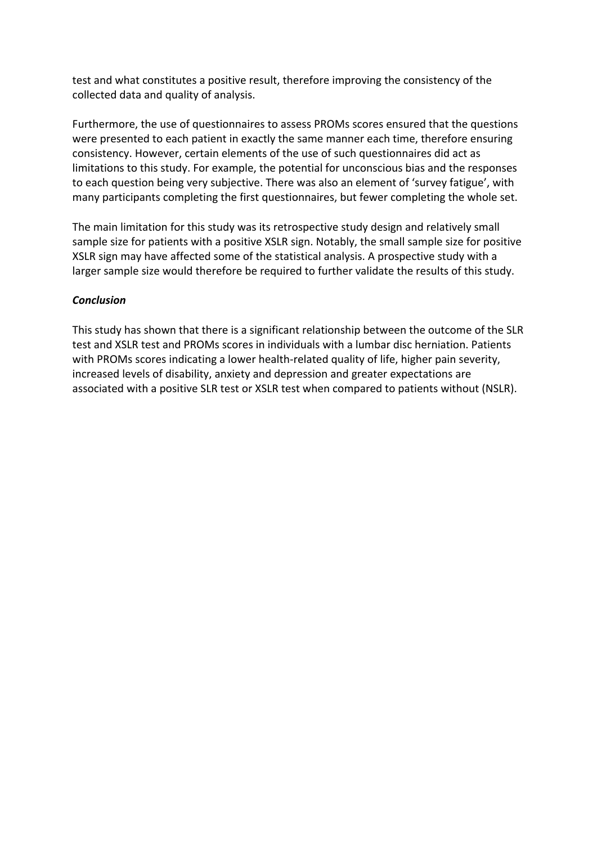test and what constitutes a positive result, therefore improving the consistency of the collected data and quality of analysis.

Furthermore, the use of questionnaires to assess PROMs scores ensured that the questions were presented to each patient in exactly the same manner each time, therefore ensuring consistency. However, certain elements of the use of such questionnaires did act as limitations to this study. For example, the potential for unconscious bias and the responses to each question being very subjective. There was also an element of 'survey fatigue', with many participants completing the first questionnaires, but fewer completing the whole set.

The main limitation for this study was its retrospective study design and relatively small sample size for patients with a positive XSLR sign. Notably, the small sample size for positive XSLR sign may have affected some of the statistical analysis. A prospective study with a larger sample size would therefore be required to further validate the results of this study.

#### *Conclusion*

This study has shown that there is a significant relationship between the outcome of the SLR test and XSLR test and PROMs scores in individuals with a lumbar disc herniation. Patients with PROMs scores indicating a lower health-related quality of life, higher pain severity, increased levels of disability, anxiety and depression and greater expectations are associated with a positive SLR test or XSLR test when compared to patients without (NSLR).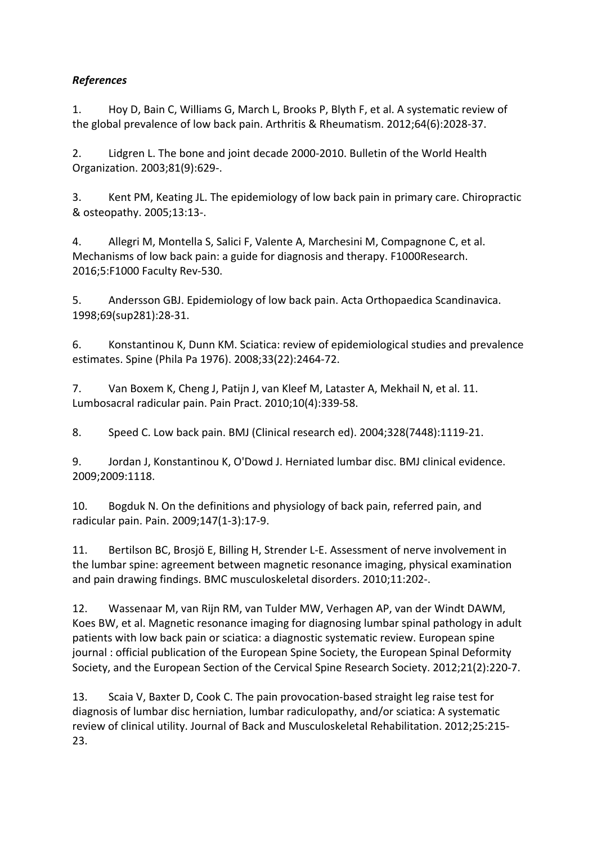# *References*

1. Hoy D, Bain C, Williams G, March L, Brooks P, Blyth F, et al. A systematic review of the global prevalence of low back pain. Arthritis & Rheumatism. 2012;64(6):2028-37.

2. Lidgren L. The bone and joint decade 2000-2010. Bulletin of the World Health Organization. 2003;81(9):629-.

3. Kent PM, Keating JL. The epidemiology of low back pain in primary care. Chiropractic & osteopathy. 2005;13:13-.

4. Allegri M, Montella S, Salici F, Valente A, Marchesini M, Compagnone C, et al. Mechanisms of low back pain: a guide for diagnosis and therapy. F1000Research. 2016;5:F1000 Faculty Rev-530.

5. Andersson GBJ. Epidemiology of low back pain. Acta Orthopaedica Scandinavica. 1998;69(sup281):28-31.

6. Konstantinou K, Dunn KM. Sciatica: review of epidemiological studies and prevalence estimates. Spine (Phila Pa 1976). 2008;33(22):2464-72.

7. Van Boxem K, Cheng J, Patijn J, van Kleef M, Lataster A, Mekhail N, et al. 11. Lumbosacral radicular pain. Pain Pract. 2010;10(4):339-58.

8. Speed C. Low back pain. BMJ (Clinical research ed). 2004;328(7448):1119-21.

9. Jordan J, Konstantinou K, O'Dowd J. Herniated lumbar disc. BMJ clinical evidence. 2009;2009:1118.

10. Bogduk N. On the definitions and physiology of back pain, referred pain, and radicular pain. Pain. 2009;147(1-3):17-9.

11. Bertilson BC, Brosjö E, Billing H, Strender L-E. Assessment of nerve involvement in the lumbar spine: agreement between magnetic resonance imaging, physical examination and pain drawing findings. BMC musculoskeletal disorders. 2010;11:202-.

12. Wassenaar M, van Rijn RM, van Tulder MW, Verhagen AP, van der Windt DAWM, Koes BW, et al. Magnetic resonance imaging for diagnosing lumbar spinal pathology in adult patients with low back pain or sciatica: a diagnostic systematic review. European spine journal : official publication of the European Spine Society, the European Spinal Deformity Society, and the European Section of the Cervical Spine Research Society. 2012;21(2):220-7.

13. Scaia V, Baxter D, Cook C. The pain provocation-based straight leg raise test for diagnosis of lumbar disc herniation, lumbar radiculopathy, and/or sciatica: A systematic review of clinical utility. Journal of Back and Musculoskeletal Rehabilitation. 2012;25:215- 23.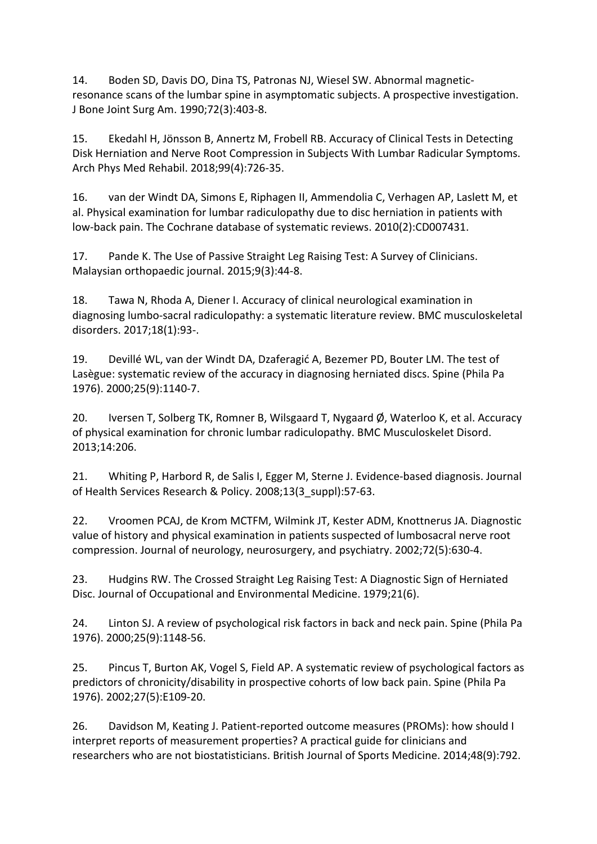14. Boden SD, Davis DO, Dina TS, Patronas NJ, Wiesel SW. Abnormal magneticresonance scans of the lumbar spine in asymptomatic subjects. A prospective investigation. J Bone Joint Surg Am. 1990;72(3):403-8.

15. Ekedahl H, Jönsson B, Annertz M, Frobell RB. Accuracy of Clinical Tests in Detecting Disk Herniation and Nerve Root Compression in Subjects With Lumbar Radicular Symptoms. Arch Phys Med Rehabil. 2018;99(4):726-35.

16. van der Windt DA, Simons E, Riphagen II, Ammendolia C, Verhagen AP, Laslett M, et al. Physical examination for lumbar radiculopathy due to disc herniation in patients with low-back pain. The Cochrane database of systematic reviews. 2010(2):CD007431.

17. Pande K. The Use of Passive Straight Leg Raising Test: A Survey of Clinicians. Malaysian orthopaedic journal. 2015;9(3):44-8.

18. Tawa N, Rhoda A, Diener I. Accuracy of clinical neurological examination in diagnosing lumbo-sacral radiculopathy: a systematic literature review. BMC musculoskeletal disorders. 2017;18(1):93-.

19. Devillé WL, van der Windt DA, Dzaferagić A, Bezemer PD, Bouter LM. The test of Lasègue: systematic review of the accuracy in diagnosing herniated discs. Spine (Phila Pa 1976). 2000;25(9):1140-7.

20. Iversen T, Solberg TK, Romner B, Wilsgaard T, Nygaard  $\emptyset$ , Waterloo K, et al. Accuracy of physical examination for chronic lumbar radiculopathy. BMC Musculoskelet Disord. 2013;14:206.

21. Whiting P, Harbord R, de Salis I, Egger M, Sterne J. Evidence-based diagnosis. Journal of Health Services Research & Policy. 2008;13(3\_suppl):57-63.

22. Vroomen PCAJ, de Krom MCTFM, Wilmink JT, Kester ADM, Knottnerus JA. Diagnostic value of history and physical examination in patients suspected of lumbosacral nerve root compression. Journal of neurology, neurosurgery, and psychiatry. 2002;72(5):630-4.

23. Hudgins RW. The Crossed Straight Leg Raising Test: A Diagnostic Sign of Herniated Disc. Journal of Occupational and Environmental Medicine. 1979;21(6).

24. Linton SJ. A review of psychological risk factors in back and neck pain. Spine (Phila Pa 1976). 2000;25(9):1148-56.

25. Pincus T, Burton AK, Vogel S, Field AP. A systematic review of psychological factors as predictors of chronicity/disability in prospective cohorts of low back pain. Spine (Phila Pa 1976). 2002;27(5):E109-20.

26. Davidson M, Keating J. Patient-reported outcome measures (PROMs): how should I interpret reports of measurement properties? A practical guide for clinicians and researchers who are not biostatisticians. British Journal of Sports Medicine. 2014;48(9):792.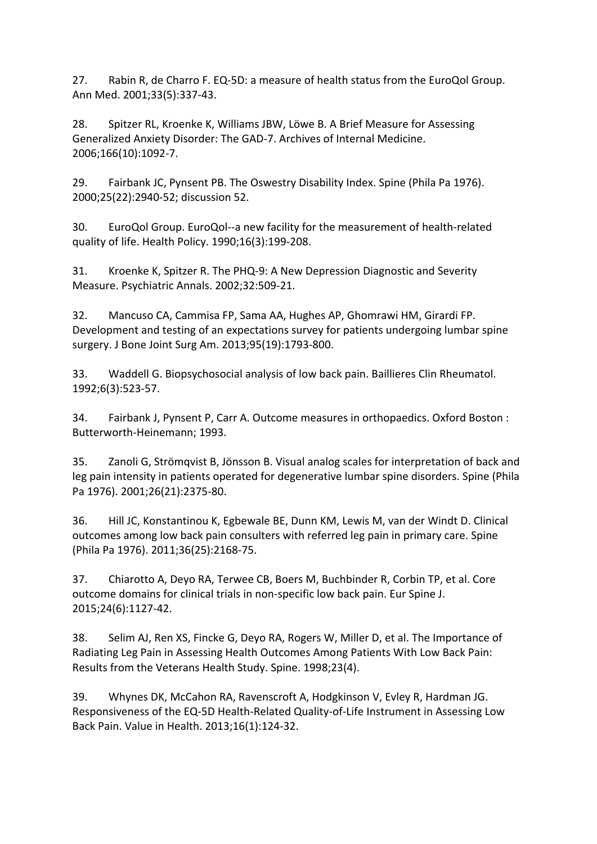27. Rabin R, de Charro F. EQ-5D: a measure of health status from the EuroQol Group. Ann Med. 2001;33(5):337-43.

28. Spitzer RL, Kroenke K, Williams JBW, Löwe B. A Brief Measure for Assessing Generalized Anxiety Disorder: The GAD-7. Archives of Internal Medicine. 2006;166(10):1092-7.

29. Fairbank JC, Pynsent PB. The Oswestry Disability Index. Spine (Phila Pa 1976). 2000;25(22):2940-52; discussion 52.

30. EuroQol Group. EuroQol--a new facility for the measurement of health-related quality of life. Health Policy. 1990;16(3):199-208.

31. Kroenke K, Spitzer R. The PHQ-9: A New Depression Diagnostic and Severity Measure. Psychiatric Annals. 2002;32:509-21.

32. Mancuso CA, Cammisa FP, Sama AA, Hughes AP, Ghomrawi HM, Girardi FP. Development and testing of an expectations survey for patients undergoing lumbar spine surgery. J Bone Joint Surg Am. 2013;95(19):1793-800.

33. Waddell G. Biopsychosocial analysis of low back pain. Baillieres Clin Rheumatol. 1992;6(3):523-57.

34. Fairbank J, Pynsent P, Carr A. Outcome measures in orthopaedics. Oxford Boston : Butterworth-Heinemann; 1993.

35. Zanoli G, Strömqvist B, Jönsson B. Visual analog scales for interpretation of back and leg pain intensity in patients operated for degenerative lumbar spine disorders. Spine (Phila Pa 1976). 2001;26(21):2375-80.

36. Hill JC, Konstantinou K, Egbewale BE, Dunn KM, Lewis M, van der Windt D. Clinical outcomes among low back pain consulters with referred leg pain in primary care. Spine (Phila Pa 1976). 2011;36(25):2168-75.

37. Chiarotto A, Deyo RA, Terwee CB, Boers M, Buchbinder R, Corbin TP, et al. Core outcome domains for clinical trials in non-specific low back pain. Eur Spine J. 2015;24(6):1127-42.

38. Selim AJ, Ren XS, Fincke G, Deyo RA, Rogers W, Miller D, et al. The Importance of Radiating Leg Pain in Assessing Health Outcomes Among Patients With Low Back Pain: Results from the Veterans Health Study. Spine. 1998;23(4).

39. Whynes DK, McCahon RA, Ravenscroft A, Hodgkinson V, Evley R, Hardman JG. Responsiveness of the EQ-5D Health-Related Quality-of-Life Instrument in Assessing Low Back Pain. Value in Health. 2013;16(1):124-32.